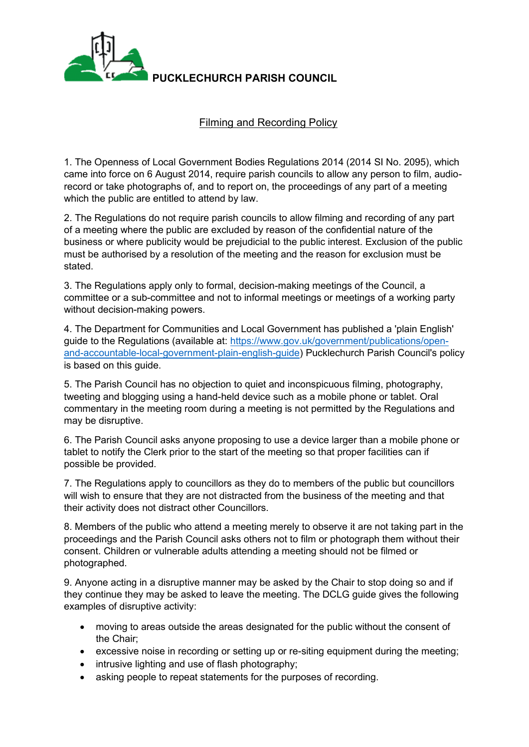

**PUCKLECHURCH PARISH COUNCIL**

## Filming and Recording Policy

1. The Openness of Local Government Bodies Regulations 2014 (2014 SI No. 2095), which came into force on 6 August 2014, require parish councils to allow any person to film, audiorecord or take photographs of, and to report on, the proceedings of any part of a meeting which the public are entitled to attend by law.

2. The Regulations do not require parish councils to allow filming and recording of any part of a meeting where the public are excluded by reason of the confidential nature of the business or where publicity would be prejudicial to the public interest. Exclusion of the public must be authorised by a resolution of the meeting and the reason for exclusion must be stated.

3. The Regulations apply only to formal, decision-making meetings of the Council, a committee or a sub-committee and not to informal meetings or meetings of a working party without decision-making powers.

4. The Department for Communities and Local Government has published a 'plain English' guide to the Regulations (available at: [https://www.gov.uk/government/publications/open](https://www.gov.uk/government/publications/open-and-accountable-local-government-plain-english-guide)[and-accountable-local-government-plain-english-guide\)](https://www.gov.uk/government/publications/open-and-accountable-local-government-plain-english-guide) Pucklechurch Parish Council's policy is based on this guide.

5. The Parish Council has no objection to quiet and inconspicuous filming, photography, tweeting and blogging using a hand-held device such as a mobile phone or tablet. Oral commentary in the meeting room during a meeting is not permitted by the Regulations and may be disruptive.

6. The Parish Council asks anyone proposing to use a device larger than a mobile phone or tablet to notify the Clerk prior to the start of the meeting so that proper facilities can if possible be provided.

7. The Regulations apply to councillors as they do to members of the public but councillors will wish to ensure that they are not distracted from the business of the meeting and that their activity does not distract other Councillors.

8. Members of the public who attend a meeting merely to observe it are not taking part in the proceedings and the Parish Council asks others not to film or photograph them without their consent. Children or vulnerable adults attending a meeting should not be filmed or photographed.

9. Anyone acting in a disruptive manner may be asked by the Chair to stop doing so and if they continue they may be asked to leave the meeting. The DCLG guide gives the following examples of disruptive activity:

- moving to areas outside the areas designated for the public without the consent of the Chair;
- excessive noise in recording or setting up or re-siting equipment during the meeting;
- intrusive lighting and use of flash photography;
- asking people to repeat statements for the purposes of recording.